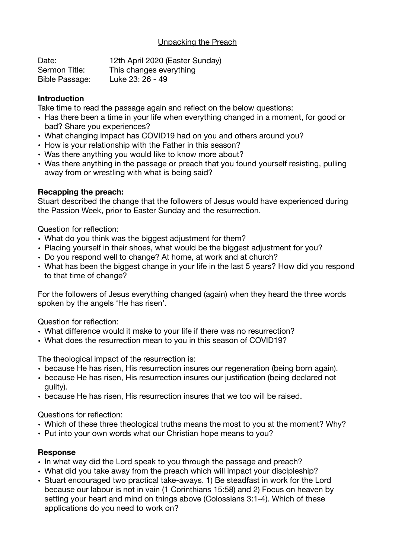# Unpacking the Preach

| Date:                 | 12th April 2020 (Easter Sunday) |
|-----------------------|---------------------------------|
| Sermon Title:         | This changes everything         |
| <b>Bible Passage:</b> | Luke 23: 26 - 49                |

### **Introduction**

Take time to read the passage again and reflect on the below questions:

- Has there been a time in your life when everything changed in a moment, for good or bad? Share you experiences?
- What changing impact has COVID19 had on you and others around you?
- How is your relationship with the Father in this season?
- Was there anything you would like to know more about?
- Was there anything in the passage or preach that you found yourself resisting, pulling away from or wrestling with what is being said?

#### **Recapping the preach:**

Stuart described the change that the followers of Jesus would have experienced during the Passion Week, prior to Easter Sunday and the resurrection.

Question for reflection:

- What do you think was the biggest adjustment for them?
- Placing yourself in their shoes, what would be the biggest adjustment for you?
- Do you respond well to change? At home, at work and at church?
- What has been the biggest change in your life in the last 5 years? How did you respond to that time of change?

For the followers of Jesus everything changed (again) when they heard the three words spoken by the angels 'He has risen'.

Question for reflection:

- What difference would it make to your life if there was no resurrection?
- What does the resurrection mean to you in this season of COVID19?

The theological impact of the resurrection is:

- because He has risen, His resurrection insures our regeneration (being born again).
- because He has risen, His resurrection insures our justification (being declared not guilty).
- because He has risen, His resurrection insures that we too will be raised.

Questions for reflection:

- Which of these three theological truths means the most to you at the moment? Why?
- Put into your own words what our Christian hope means to you?

# **Response**

- In what way did the Lord speak to you through the passage and preach?
- What did you take away from the preach which will impact your discipleship?
- Stuart encouraged two practical take-aways. 1) Be steadfast in work for the Lord because our labour is not in vain (1 Corinthians 15:58) and 2) Focus on heaven by setting your heart and mind on things above (Colossians 3:1-4). Which of these applications do you need to work on?